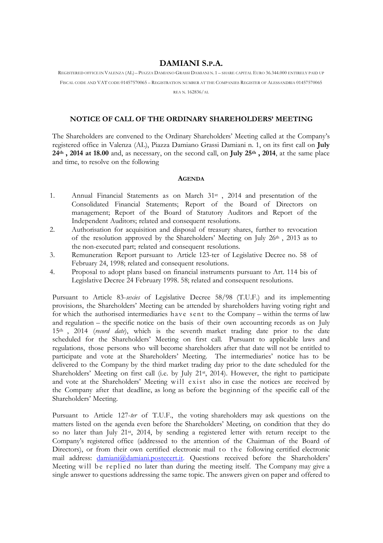## **DAMIANI S.P.A.**

REGISTERED OFFICE IN VALENZA (AL) – PIAZZA DAMIANO GRASSI DAMIANI N.1 – SHARE CAPITAL EURO 36.344.000 ENTIRELY PAID UP FISCAL CODE AND VAT CODE 01457570065 – REGISTRATION NUMBER AT THE COMPANIES REGISTER OF ALESSANDRIA 01457570065 REA N. 162836/AL

## **NOTICE OF CALL OF THE ORDINARY SHAREHOLDERS' MEETING**

The Shareholders are convened to the Ordinary Shareholders' Meeting called at the Company's registered office in Valenza (AL), Piazza Damiano Grassi Damiani n. 1, on its first call on **July 24th , 2014 at 18.00** and, as necessary, on the second call, on **July 25th , 2014**, at the same place and time, to resolve on the following

## **AGENDA**

- 1. Annual Financial Statements as on March 31st , 2014 and presentation of the Consolidated Financial Statements; Report of the Board of Directors on management; Report of the Board of Statutory Auditors and Report of the Independent Auditors; related and consequent resolutions.
- 2. Authorisation for acquisition and disposal of treasury shares, further to revocation of the resolution approved by the Shareholders' Meeting on July 26th , 2013 as to the non-executed part; related and consequent resolutions.
- 3. Remuneration Report pursuant to Article 123-ter of Legislative Decree no. 58 of February 24, 1998; related and consequent resolutions.
- 4. Proposal to adopt plans based on financial instruments pursuant to Art. 114 bis of Legislative Decree 24 February 1998. 58; related and consequent resolutions.

Pursuant to Article 83-*sexies* of Legislative Decree 58/98 (T.U.F.) and its implementing provisions, the Shareholders' Meeting can be attended by shareholders having voting right and for which the authorised intermediaries have sent to the Company – within the terms of law and regulation – the specific notice on the basis of their own accounting records as on July 15th , 2014 (*record date*), which is the seventh market trading date prior to the date scheduled for the Shareholders' Meeting on first call. Pursuant to applicable laws and regulations, those persons who will become shareholders after that date will not be entitled to participate and vote at the Shareholders' Meeting. The intermediaries' notice has to be delivered to the Company by the third market trading day prior to the date scheduled for the Shareholders' Meeting on first call (i.e. by July 21<sup>st</sup>, 2014). However, the right to participate and vote at the Shareholders' Meeting will exist also in case the notices are received by the Company after that deadline, as long as before the beginning of the specific call of the Shareholders' Meeting.

Pursuant to Article 127-*ter* of T.U.F., the voting shareholders may ask questions on the matters listed on the agenda even before the Shareholders' Meeting, on condition that they do so no later than July 21<sup>st</sup>, 2014, by sending a registered letter with return receipt to the Company's registered office (addressed to the attention of the Chairman of the Board of Directors), or from their own certified electronic mail to the following certified electronic mail address: [damiani@damiani.postecert.it.](mailto:damiani@damiani.postecert.it.) Questions received before the Shareholders' Meeting will be replied no later than during the meeting itself. The Company may give a single answer to questions addressing the same topic. The answers given on paper and offered to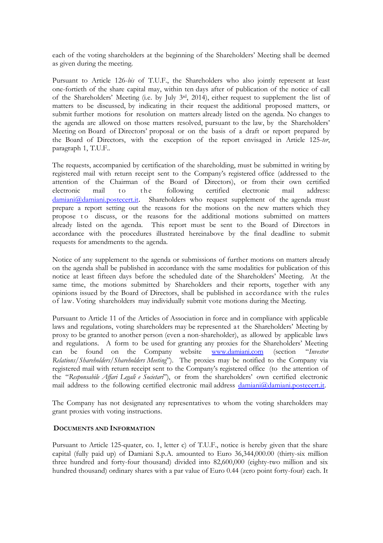each of the voting shareholders at the beginning of the Shareholders' Meeting shall be deemed as given during the meeting.

Pursuant to Article 126-*bis* of T.U.F., the Shareholders who also jointly represent at least one-fortieth of the share capital may, within ten days after of publication of the notice of call of the Shareholders' Meeting (i.e. by July 3rd, 2014), either request to supplement the list of matters to be discussed, by indicating in their request the additional proposed matters, or submit further motions for resolution on matters already listed on the agenda. No changes to the agenda are allowed on those matters resolved, pursuant to the law, by the Shareholders' Meeting on Board of Directors' proposal or on the basis of a draft or report prepared by the Board of Directors, with the exception of the report envisaged in Article 125-*ter*, paragraph 1, T.U.F..

The requests, accompanied by certification of the shareholding, must be submitted in writing by registered mail with return receipt sent to the Company's registered office (addressed to the attention of the Chairman of the Board of Directors), or from their own certified electronic mail to the following certified electronic mail address: [damiani@damiani.postecert.it](mailto:damiani@damiani.postecert.it)[.](mailto:damiani@damiani.postecert.it) Shareholders who request supplement of the agenda must prepare a report setting out the reasons for the motions on the new matters which they propose to discuss, or the reasons for the additional motions submitted on matters already listed on the agenda. This report must be sent to the Board of Directors in accordance with the procedures illustrated hereinabove by the final deadline to submit requests for amendments to the agenda.

Notice of any supplement to the agenda or submissions of further motions on matters already on the agenda shall be published in accordance with the same modalities for publication of this notice at least fifteen days before the scheduled date of the Shareholders' Meeting. At the same time, the motions submitted by Shareholders and their reports, together with any opinions issued by the Board of Directors, shall be published in accordance with the rules of la[w.](http://www.damiani.it./) Voting shareholders may individually submit vote motions during the Meeting.

Pursuant to Article 11 of the Articles of Association in force and in compliance with applicable laws and regulations, voting shareholders may be represented at the Shareholders' Meeting by proxy to be granted to another person (even a non-shareholder), as allowed by applicable laws and regulations. A form to be used for granting any proxies for the Shareholders' Meeting can be found on the Company website [www.damiani.com](http://www.damiani.com/) (section "*Investor Relations/Shareholders/Shareholders Meeting*"). The proxies may be notified to the Company via registered mail with return receipt sent to the Company's registered office (to the attention of the "*Responsabile Affari Legali e Societari*"), or from the shareholders' own certified electronic mail address to the following certified electronic mail address [damiani@damiani.postecert.it.](mailto:segreteria.azionisti@pec.todsgroup.com)

The Company has not designated any representatives to whom the voting shareholders may grant proxies with voting instructions.

## **DOCUMENTS AND INFORMATION**

Pursuant to Article 125-quater, co. 1, letter c) of T.U.F., notice is hereby given that the share capital (fully paid up) of Damiani S.p.A. amounted to Euro 36,344,000.00 (thirty-six million three hundred and forty-four thousand) divided into 82,600,000 (eighty-two million and six hundred thousand) ordinary shares with a par value of Euro 0.44 (zero point forty-four) each. It